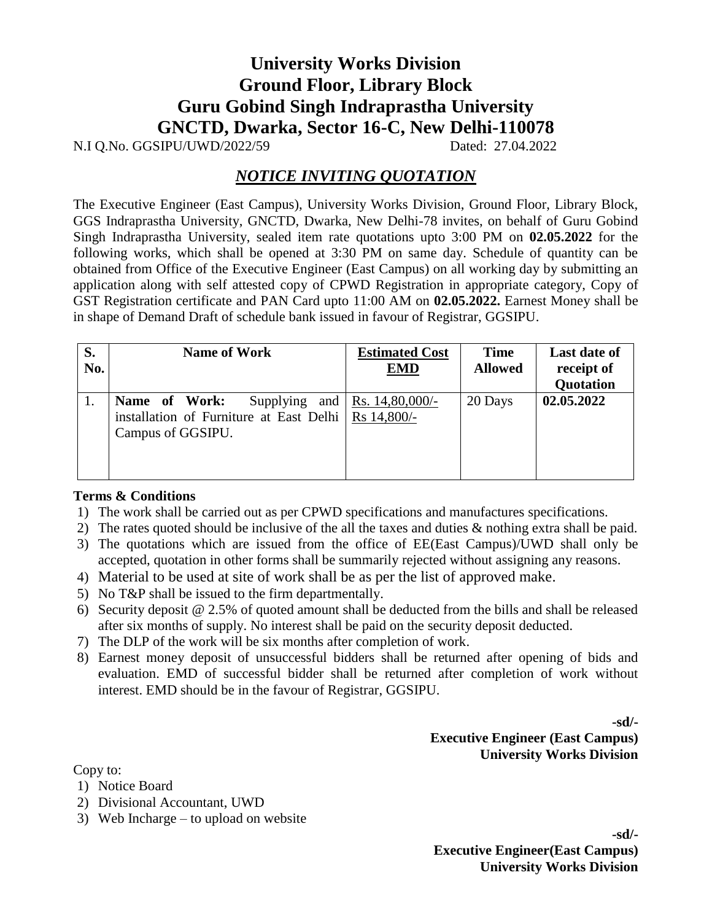## **University Works Division Ground Floor, Library Block Guru Gobind Singh Indraprastha University GNCTD, Dwarka, Sector 16-C, New Delhi-110078**

N.I Q.No. GGSIPU/UWD/2022/59 Dated: 27.04.2022

## *NOTICE INVITING QUOTATION*

The Executive Engineer (East Campus), University Works Division, Ground Floor, Library Block, GGS Indraprastha University, GNCTD, Dwarka, New Delhi-78 invites, on behalf of Guru Gobind Singh Indraprastha University, sealed item rate quotations upto 3:00 PM on **02.05.2022** for the following works, which shall be opened at 3:30 PM on same day. Schedule of quantity can be obtained from Office of the Executive Engineer (East Campus) on all working day by submitting an application along with self attested copy of CPWD Registration in appropriate category, Copy of GST Registration certificate and PAN Card upto 11:00 AM on **02.05.2022.** Earnest Money shall be in shape of Demand Draft of schedule bank issued in favour of Registrar, GGSIPU.

| S.<br>No. | <b>Name of Work</b>                                                                                        | <b>Estimated Cost</b><br><b>EMD</b> | <b>Time</b><br><b>Allowed</b> | Last date of<br>receipt of<br>Quotation |
|-----------|------------------------------------------------------------------------------------------------------------|-------------------------------------|-------------------------------|-----------------------------------------|
|           | Name of Work:<br>Supplying<br>installation of Furniture at East Delhi   Rs $14,800/-$<br>Campus of GGSIPU. | and   Rs. $14,80,000/$ -            | 20 Days                       | 02.05.2022                              |

## **Terms & Conditions**

- 1) The work shall be carried out as per CPWD specifications and manufactures specifications.
- 2) The rates quoted should be inclusive of the all the taxes and duties & nothing extra shall be paid.
- 3) The quotations which are issued from the office of EE(East Campus)/UWD shall only be accepted, quotation in other forms shall be summarily rejected without assigning any reasons.
- 4) Material to be used at site of work shall be as per the list of approved make.
- 5) No T&P shall be issued to the firm departmentally.
- 6) Security deposit @ 2.5% of quoted amount shall be deducted from the bills and shall be released after six months of supply. No interest shall be paid on the security deposit deducted.
- 7) The DLP of the work will be six months after completion of work.
- 8) Earnest money deposit of unsuccessful bidders shall be returned after opening of bids and evaluation. EMD of successful bidder shall be returned after completion of work without interest. EMD should be in the favour of Registrar, GGSIPU.

**-sd/- Executive Engineer (East Campus) University Works Division**

Copy to:

- 1) Notice Board
- 2) Divisional Accountant, UWD
- 3) Web Incharge to upload on website

**-sd/- Executive Engineer(East Campus) University Works Division**